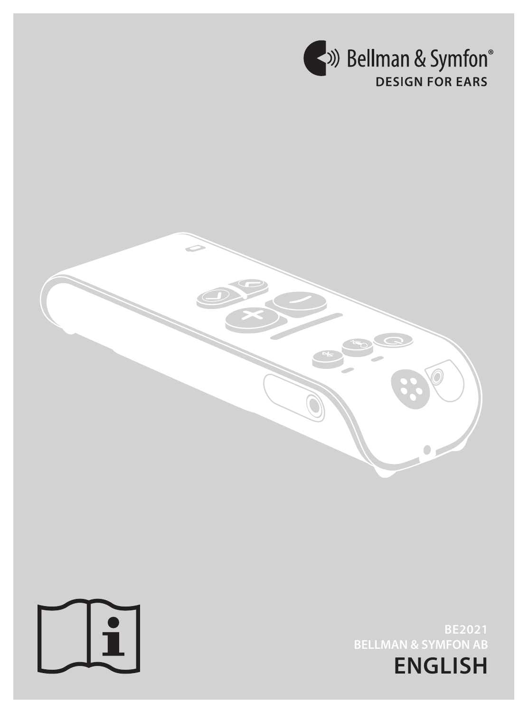



**ENGLISH BE2021 BELLMAN & SYMFON AB**

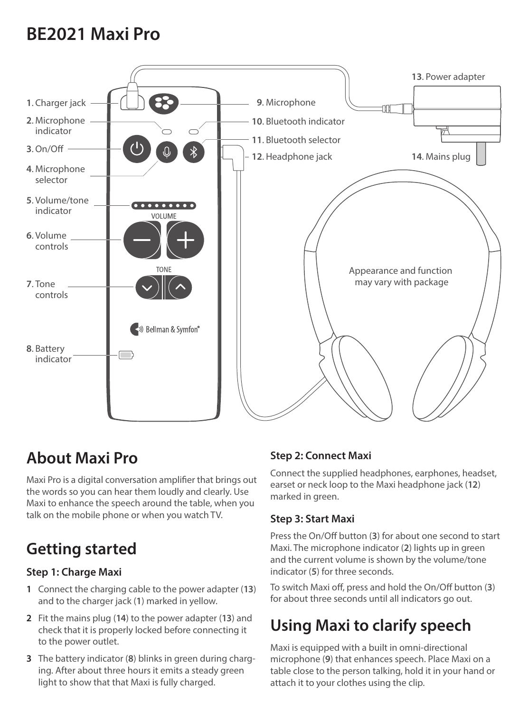# **BE2021 Maxi Pro**



## **About Maxi Pro**

Maxi Pro is a digital conversation amplifier that brings out the words so you can hear them loudly and clearly. Use Maxi to enhance the speech around the table, when you talk on the mobile phone or when you watch TV.

# **Getting started**

## **Step 1: Charge Maxi**

- **1** Connect the charging cable to the power adapter (**13**) and to the charger jack (**1**) marked in yellow.
- **2** Fit the mains plug (**14**) to the power adapter (**13**) and check that it is properly locked before connecting it to the power outlet.
- **3** The battery indicator (**8**) blinks in green during charging. After about three hours it emits a steady green light to show that that Maxi is fully charged.

## **Step 2: Connect Maxi**

Connect the supplied headphones, earphones, headset, earset or neck loop to the Maxi headphone jack (**12**) marked in green.

## **Step 3: Start Maxi**

Press the On/Off button (**3**) for about one second to start Maxi. The microphone indicator (**2**) lights up in green and the current volume is shown by the volume/tone indicator (**5**) for three seconds.

To switch Maxi off, press and hold the On/Off button (**3**) for about three seconds until all indicators go out.

## **Using Maxi to clarify speech**

Maxi is equipped with a built in omni-directional microphone (**9**) that enhances speech. Place Maxi on a table close to the person talking, hold it in your hand or attach it to your clothes using the clip.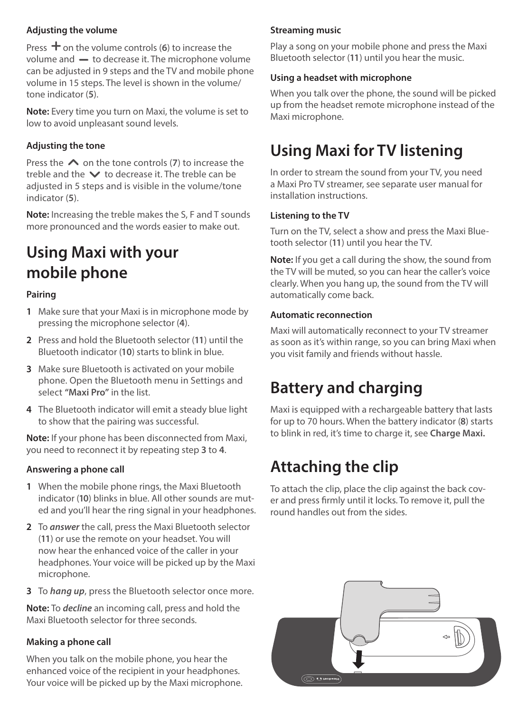#### **Adjusting the volume**

Press  $\pm$  on the volume controls (6) to increase the volume and  $\rightarrow$  to decrease it. The microphone volume can be adjusted in 9 steps and the TV and mobile phone volume in 15 steps. The level is shown in the volume/ tone indicator (**5**).

**Note:** Every time you turn on Maxi, the volume is set to low to avoid unpleasant sound levels.

#### **Adjusting the tone**

Press the  $\triangle$  on the tone controls (7) to increase the treble and the  $\vee$  to decrease it. The treble can be adjusted in 5 steps and is visible in the volume/tone indicator (**5**).

**Note:** Increasing the treble makes the S, F and T sounds more pronounced and the words easier to make out.

## **Using Maxi with your mobile phone**

### **Pairing**

- **1** Make sure that your Maxi is in microphone mode by pressing the microphone selector (**4**).
- **2** Press and hold the Bluetooth selector (**11**) until the Bluetooth indicator (**10**) starts to blink in blue.
- **3** Make sure Bluetooth is activated on your mobile phone. Open the Bluetooth menu in Settings and select **"Maxi Pro"** in the list.
- **4** The Bluetooth indicator will emit a steady blue light to show that the pairing was successful.

**Note:** If your phone has been disconnected from Maxi, you need to reconnect it by repeating step **3** to **4**.

#### **Answering a phone call**

- **1** When the mobile phone rings, the Maxi Bluetooth indicator (**10**) blinks in blue. All other sounds are muted and you'll hear the ring signal in your headphones.
- **2** To *answer* the call, press the Maxi Bluetooth selector (**11**) or use the remote on your headset. You will now hear the enhanced voice of the caller in your headphones. Your voice will be picked up by the Maxi microphone.
- **3** To *hang up*, press the Bluetooth selector once more.

**Note:** To *decline* an incoming call, press and hold the Maxi Bluetooth selector for three seconds.

#### **Making a phone call**

When you talk on the mobile phone, you hear the enhanced voice of the recipient in your headphones. Your voice will be picked up by the Maxi microphone.

#### **Streaming music**

Play a song on your mobile phone and press the Maxi Bluetooth selector (**11**) until you hear the music.

#### **Using a headset with microphone**

When you talk over the phone, the sound will be picked up from the headset remote microphone instead of the Maxi microphone.

# **Using Maxi for TV listening**

In order to stream the sound from your TV, you need a Maxi Pro TV streamer, see separate user manual for installation instructions.

#### **Listening to the TV**

Turn on the TV, select a show and press the Maxi Bluetooth selector (**11**) until you hear the TV.

**Note:** If you get a call during the show, the sound from the TV will be muted, so you can hear the caller's voice clearly. When you hang up, the sound from the TV will automatically come back.

#### **Automatic reconnection**

Maxi will automatically reconnect to your TV streamer as soon as it's within range, so you can bring Maxi when you visit family and friends without hassle.

## **Battery and charging**

Maxi is equipped with a rechargeable battery that lasts for up to 70 hours. When the battery indicator (**8**) starts to blink in red, it's time to charge it, see **Charge Maxi.**

## **Attaching the clip**

To attach the clip, place the clip against the back cover and press firmly until it locks. To remove it, pull the round handles out from the sides.

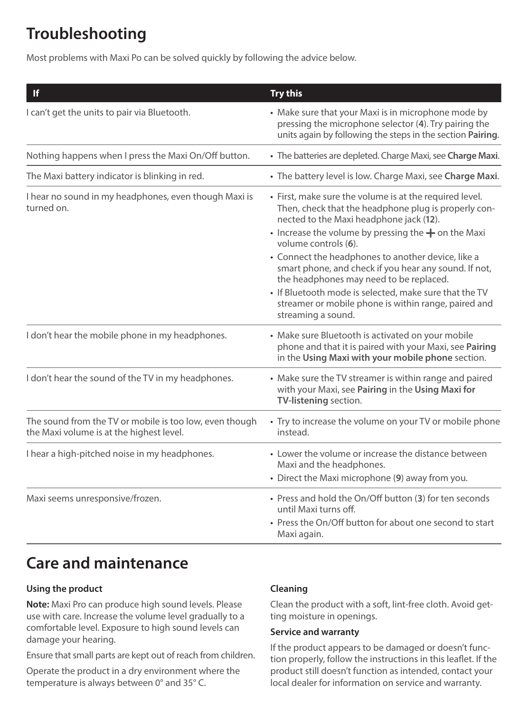# **Troubleshooting**

Most problems with Maxi Po can be solved quickly by following the advice below.

| If                                                                                                  | <b>Try this</b>                                                                                                                                                                                                                                                                                                                                                                                                                                                                                                                               |
|-----------------------------------------------------------------------------------------------------|-----------------------------------------------------------------------------------------------------------------------------------------------------------------------------------------------------------------------------------------------------------------------------------------------------------------------------------------------------------------------------------------------------------------------------------------------------------------------------------------------------------------------------------------------|
| I can't get the units to pair via Bluetooth.                                                        | • Make sure that your Maxi is in microphone mode by<br>pressing the microphone selector (4). Try pairing the<br>units again by following the steps in the section Pairing.                                                                                                                                                                                                                                                                                                                                                                    |
| Nothing happens when I press the Maxi On/Off button.                                                | • The batteries are depleted. Charge Maxi, see Charge Maxi.                                                                                                                                                                                                                                                                                                                                                                                                                                                                                   |
| The Maxi battery indicator is blinking in red.                                                      | • The battery level is low. Charge Maxi, see Charge Maxi.                                                                                                                                                                                                                                                                                                                                                                                                                                                                                     |
| I hear no sound in my headphones, even though Maxi is<br>turned on.                                 | • First, make sure the volume is at the required level.<br>Then, check that the headphone plug is properly con-<br>nected to the Maxi headphone jack (12).<br>• Increase the volume by pressing the $+$ on the Maxi<br>volume controls (6).<br>• Connect the headphones to another device, like a<br>smart phone, and check if you hear any sound. If not,<br>the headphones may need to be replaced.<br>• If Bluetooth mode is selected, make sure that the TV<br>streamer or mobile phone is within range, paired and<br>streaming a sound. |
| I don't hear the mobile phone in my headphones.                                                     | • Make sure Bluetooth is activated on your mobile<br>phone and that it is paired with your Maxi, see Pairing<br>in the Using Maxi with your mobile phone section.                                                                                                                                                                                                                                                                                                                                                                             |
| I don't hear the sound of the TV in my headphones.                                                  | • Make sure the TV streamer is within range and paired<br>with your Maxi, see Pairing in the Using Maxi for<br>TV-listening section.                                                                                                                                                                                                                                                                                                                                                                                                          |
| The sound from the TV or mobile is too low, even though<br>the Maxi volume is at the highest level. | • Try to increase the volume on your TV or mobile phone<br>instead.                                                                                                                                                                                                                                                                                                                                                                                                                                                                           |
| I hear a high-pitched noise in my headphones.                                                       | • Lower the volume or increase the distance between<br>Maxi and the headphones.<br>• Direct the Maxi microphone (9) away from you.                                                                                                                                                                                                                                                                                                                                                                                                            |
| Maxi seems unresponsive/frozen.                                                                     | • Press and hold the On/Off button (3) for ten seconds<br>until Maxi turns off.<br>• Press the On/Off button for about one second to start<br>Maxi again.                                                                                                                                                                                                                                                                                                                                                                                     |

## **Care and maintenance**

#### **Using the product**

**Note:** Maxi Pro can produce high sound levels. Please use with care. Increase the volume level gradually to a comfortable level. Exposure to high sound levels can damage your hearing.

Ensure that small parts are kept out of reach from children.

Operate the product in a dry environment where the temperature is always between 0° and 35° C.

#### **Cleaning**

Clean the product with a soft, lint-free cloth. Avoid getting moisture in openings.

#### **Service and warranty**

If the product appears to be damaged or doesn't function properly, follow the instructions in this leaflet. If the product still doesn't function as intended, contact your local dealer for information on service and warranty.